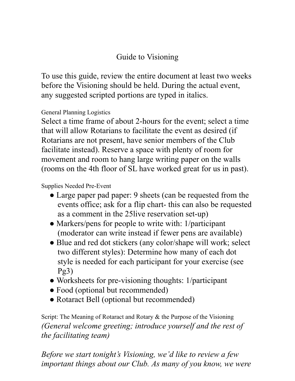## Guide to Visioning

To use this guide, review the entire document at least two weeks before the Visioning should be held. During the actual event, any suggested scripted portions are typed in italics.

## General Planning Logistics

Select a time frame of about 2-hours for the event; select a time that will allow Rotarians to facilitate the event as desired (if Rotarians are not present, have senior members of the Club facilitate instead). Reserve a space with plenty of room for movement and room to hang large writing paper on the walls (rooms on the 4th floor of SL have worked great for us in past).

## Supplies Needed Pre-Event

- Large paper pad paper: 9 sheets (can be requested from the events office; ask for a flip chart- this can also be requested as a comment in the 25live reservation set-up)
- Markers/pens for people to write with: 1/participant (moderator can write instead if fewer pens are available)
- Blue and red dot stickers (any color/shape will work; select two different styles): Determine how many of each dot style is needed for each participant for your exercise (see Pg3)
- Worksheets for pre-visioning thoughts: 1/participant
- Food (optional but recommended)
- Rotaract Bell (optional but recommended)

Script: The Meaning of Rotaract and Rotary & the Purpose of the Visioning *(General welcome greeting; introduce yourself and the rest of the facilitating team)*

*Before we start tonight's Visioning, we'd like to review a few important things about our Club. As many of you know, we were*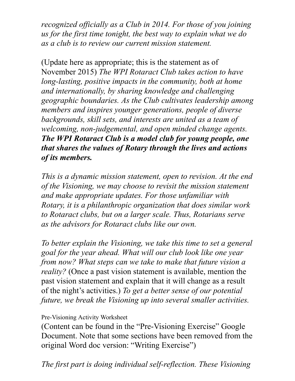*recognized officially as a Club in 2014. For those of you joining us for the first time tonight, the best way to explain what we do as a club is to review our current mission statement.*

(Update here as appropriate; this is the statement as of November 2015) *The WPI Rotaract Club takes action to have long-lasting, positive impacts in the community, both at home and internationally, by sharing knowledge and challenging geographic boundaries. As the Club cultivates leadership among members and inspires younger generations, people of diverse backgrounds, skill sets, and interests are united as a team of welcoming, non-judgemental, and open minded change agents. The WPI Rotaract Club is a model club for young people, one that shares the values of Rotary through the lives and actions of its members.*

*This is a dynamic mission statement, open to revision. At the end of the Visioning, we may choose to revisit the mission statement and make appropriate updates. For those unfamiliar with Rotary, it is a philanthropic organization that does similar work to Rotaract clubs, but on a larger scale. Thus, Rotarians serve as the advisors for Rotaract clubs like our own.*

*To better explain the Visioning, we take this time to set a general goal for the year ahead. What will our club look like one year from now? What steps can we take to make that future vision a reality?* (Once a past vision statement is available, mention the past vision statement and explain that it will change as a result of the night's activities.) *To get a better sense of our potential future, we break the Visioning up into several smaller activities.* 

Pre-Visioning Activity Worksheet

(Content can be found in the "Pre-Visioning Exercise" Google Document. Note that some sections have been removed from the original Word doc version: "Writing Exercise")

*The first part is doing individual self-reflection. These Visioning*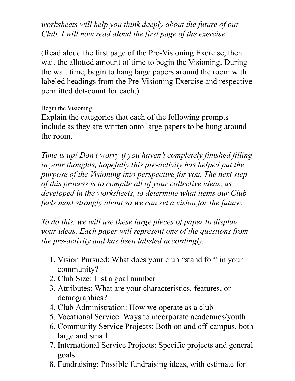*worksheets will help you think deeply about the future of our Club. I will now read aloud the first page of the exercise.*

(Read aloud the first page of the Pre-Visioning Exercise, then wait the allotted amount of time to begin the Visioning. During the wait time, begin to hang large papers around the room with labeled headings from the Pre-Visioning Exercise and respective permitted dot-count for each.)

Begin the Visioning

Explain the categories that each of the following prompts include as they are written onto large papers to be hung around the room.

*Time is up! Don't worry if you haven't completely finished filling in your thoughts, hopefully this pre-activity has helped put the purpose of the Visioning into perspective for you. The next step of this process is to compile all of your collective ideas, as developed in the worksheets, to determine what items our Club feels most strongly about so we can set a vision for the future.*

*To do this, we will use these large pieces of paper to display your ideas. Each paper will represent one of the questions from the pre-activity and has been labeled accordingly.*

- 1. Vision Pursued: What does your club "stand for" in your community?
- 2. Club Size: List a goal number
- 3. Attributes: What are your characteristics, features, or demographics?
- 4. Club Administration: How we operate as a club
- 5. Vocational Service: Ways to incorporate academics/youth
- 6. Community Service Projects: Both on and off-campus, both large and small
- 7. International Service Projects: Specific projects and general goals
- 8. Fundraising: Possible fundraising ideas, with estimate for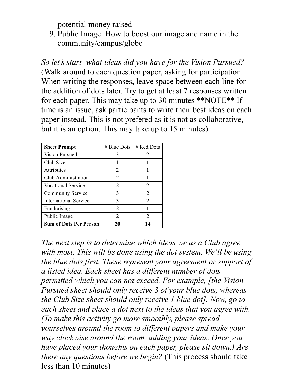potential money raised

9. Public Image: How to boost our image and name in the community/campus/globe

*So let's start- what ideas did you have for the Vision Pursued?* (Walk around to each question paper, asking for participation. When writing the responses, leave space between each line for the addition of dots later. Try to get at least 7 responses written for each paper. This may take up to 30 minutes \*\*NOTE\*\* If time is an issue, ask participants to write their best ideas on each paper instead. This is not prefered as it is not as collaborative, but it is an option. This may take up to 15 minutes)

| <b>Sheet Prompt</b>           | $#$ Blue Dots               | # Red Dots                  |
|-------------------------------|-----------------------------|-----------------------------|
| <b>Vision Pursued</b>         |                             | $\mathcal{D}_{\mathcal{L}}$ |
| Club Size                     |                             |                             |
| Attributes                    | $\overline{2}$              |                             |
| Club Administration           | $\overline{2}$              |                             |
| <b>Vocational Service</b>     | 2                           | 2                           |
| <b>Community Service</b>      | 3                           | 2                           |
| <b>International Service</b>  | 3                           | $\mathcal{D}_{\mathcal{L}}$ |
| Fundraising                   | 2                           |                             |
| Public Image                  | $\mathcal{D}_{\mathcal{L}}$ | $\mathcal{D}_{\mathcal{L}}$ |
| <b>Sum of Dots Per Person</b> | 20                          | 14                          |

*The next step is to determine which ideas we as a Club agree with most. This will be done using the dot system. We'll be using the blue dots first. These represent your agreement or support of a listed idea. Each sheet has a different number of dots permitted which you can not exceed. For example, [the Vision Pursued sheet should only receive 3 of your blue dots, whereas the Club Size sheet should only receive 1 blue dot]. Now, go to each sheet and place a dot next to the ideas that you agree with. (To make this activity go more smoothly, please spread yourselves around the room to different papers and make your way clockwise around the room, adding your ideas. Once you have placed your thoughts on each paper, please sit down.) Are there any questions before we begin?* (This process should take less than 10 minutes)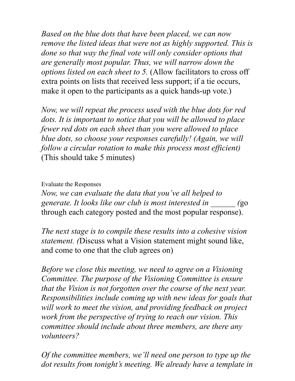*Based on the blue dots that have been placed, we can now remove the listed ideas that were not as highly supported. This is done so that way the final vote will only consider options that are generally most popular. Thus, we will narrow down the options listed on each sheet to 5.* (Allow facilitators to cross off extra points on lists that received less support; if a tie occurs, make it open to the participants as a quick hands-up vote.)

*Now, we will repeat the process used with the blue dots for red dots. It is important to notice that you will be allowed to place fewer red dots on each sheet than you were allowed to place blue dots, so choose your responses carefully! (Again, we will follow a circular rotation to make this process most efficient)* (This should take 5 minutes)

Evaluate the Responses

*Now, we can evaluate the data that you've all helped to generate. It looks like our club is most interested in \_\_\_\_\_\_ (*go through each category posted and the most popular response).

*The next stage is to compile these results into a cohesive vision statement. (*Discuss what a Vision statement might sound like, and come to one that the club agrees on)

*Before we close this meeting, we need to agree on a Visioning Committee. The purpose of the Visioning Committee is ensure that the Vision is not forgotten over the course of the next year. Responsibilities include coming up with new ideas for goals that will work to meet the vision, and providing feedback on project work from the perspective of trying to reach our vision. This committee should include about three members, are there any volunteers?*

*Of the committee members, we'll need one person to type up the dot results from tonight's meeting. We already have a template in*